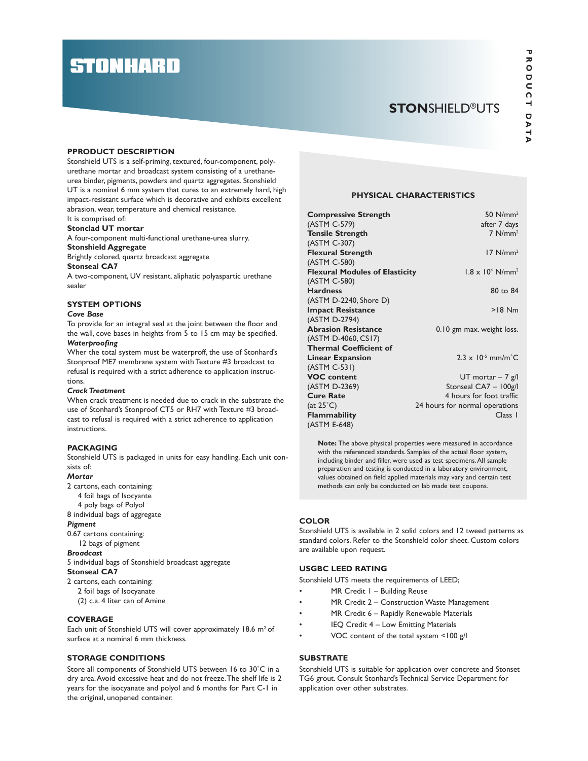# **STONHARD**

## **STONSHIELD®UTS**

#### PPRODUCT DESCRIPTION

Stonshield UTS is a self-priming, textured, four-component, polyurethane mortar and broadcast system consisting of a urethaneurea binder, pigments, powders and quartz aggregates. Stonshield UT is a nominal 6 mm system that cures to an extremely hard, high impact-resistant surface which is decorative and exhibits excellent abrasion, wear, temperature and chemical resistance.

It is comprised of:

#### Stonclad UT mortar

A four-component multi-functional urethane-urea slurry. Stonshield Aggregate

Brightly colored, quartz broadcast aggregate

#### Stonseal CA7

A two-component, UV resistant, aliphatic polyaspartic urethane sealer

#### SYSTEM OPTIONS

#### Cove Base

To provide for an integral seal at the joint between the floor and the wall, cove bases in heights from 5 to 15 cm may be specified. Waterproofing

Wher the total system must be waterproff, the use of Stonhard's Stonproof ME7 membrane system with Texture #3 broadcast to refusal is required with a strict adherence to application instructions.

#### Crack Treatment

When crack treatment is needed due to crack in the substrate the use of Stonhard's Stonproof CT5 or RH7 with Texture #3 broadcast to refusal is required with a strict adherence to application instructions.

#### PACKAGING

Stonshield UTS is packaged in units for easy handling. Each unit consists of:

#### **Mortar**

2 cartons, each containing:

- 4 foil bags of Isocyante
- 4 poly bags of Polyol

8 individual bags of aggregate

### Pigment

0.67 cartons containing:

12 bags of pigment

Broadcast

5 individual bags of Stonshield broadcast aggregate Stonseal CA7

#### 2 cartons, each containing:

2 foil bags of Isocyanate (2) c.a. 4 liter can of Amine

#### **COVERAGE**

Each unit of Stonshield UTS will cover approximately  $18.6 \text{ m}^2$  of surface at a nominal 6 mm thickness.

#### STORAGE CONDITIONS

Store all components of Stonshield UTS between 16 to 30˚C in a dry area. Avoid excessive heat and do not freeze. The shelf life is 2 years for the isocyanate and polyol and 6 months for Part C-1 in the original, unopened container.

#### PHYSICAL CHARACTERISTICS

| <b>Compressive Strength</b>           | 50 $N/mm2$                               |
|---------------------------------------|------------------------------------------|
| (ASTM C-579)                          | after 7 days                             |
| <b>Tensile Strength</b>               | $7$ N/mm <sup>2</sup>                    |
| (ASTM C-307)                          |                                          |
| <b>Flexural Strength</b>              | $17$ N/mm <sup>2</sup>                   |
| (ASTM C-580)                          |                                          |
| <b>Flexural Modules of Elasticity</b> | $1.8 \times 10^4$ N/mm <sup>2</sup>      |
| (ASTM C-580)                          |                                          |
| <b>Hardness</b>                       | 80 to 84                                 |
| (ASTM D-2240, Shore D)                |                                          |
| <b>Impact Resistance</b>              | $>18$ Nm                                 |
| (ASTM D-2794)                         |                                          |
| <b>Abrasion Resistance</b>            | 0.10 gm max. weight loss.                |
| (ASTM D-4060, CS17)                   |                                          |
| <b>Thermal Coefficient of</b>         |                                          |
| <b>Linear Expansion</b>               | $2.3 \times 10^{-5}$ mm/m <sup>°</sup> C |
| (ASTM C-531)                          |                                          |
| <b>VOC</b> content                    | $UT$ mortar – 7 g/l                      |
| (ASTM D-2369)                         | Stonseal CA7 - 100g/l                    |
| <b>Cure Rate</b>                      | 4 hours for foot traffic                 |
| $(at 25^\circ C)$                     | 24 hours for normal operations           |
| <b>Flammability</b>                   | Class 1                                  |
| (ASTM E-648)                          |                                          |

Note: The above physical properties were measured in accordance with the referenced standards. Samples of the actual floor system, including binder and filler, were used as test specimens. All sample preparation and testing is conducted in a laboratory environment, values obtained on field applied materials may vary and certain test methods can only be conducted on lab made test coupons.

#### **COLOR**

Stonshield UTS is available in 2 solid colors and 12 tweed patterns as standard colors. Refer to the Stonshield color sheet. Custom colors are available upon request.

#### USGBC LEED RATING

Stonshield UTS meets the requirements of LEED;

- MR Credit I Building Reuse
- MR Credit 2 Construction Waste Management
- MR Credit 6 Rapidly Renewable Materials
- IEQ Credit 4 Low Emitting Materials
- VOC content of the total system <100 g/l

#### **SUBSTRATE**

Stonshield UTS is suitable for application over concrete and Stonset TG6 grout. Consult Stonhard's Technical Service Department for application over other substrates.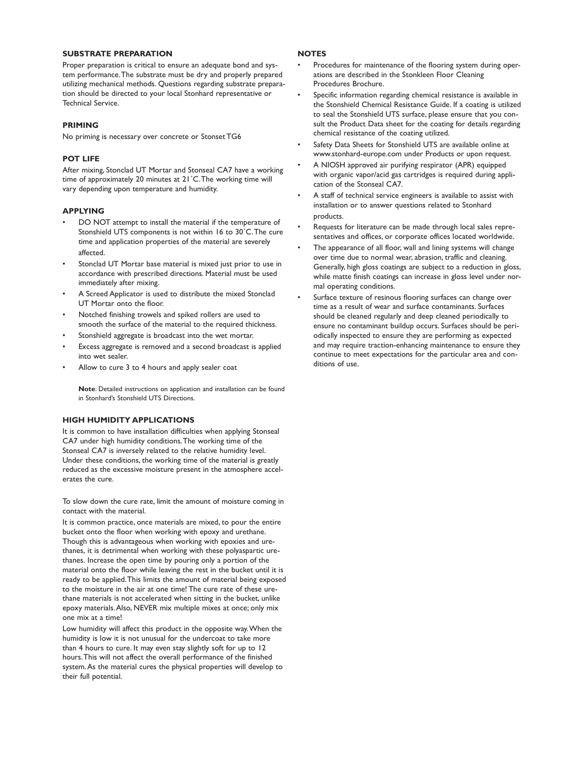#### SUBSTRATE PREPARATION

Proper preparation is critical to ensure an adequate bond and system performance. The substrate must be dry and properly prepared utilizing mechanical methods. Questions regarding substrate preparation should be directed to your local Stonhard representative or Technical Service.

#### PRIMING

No priming is necessary over concrete or Stonset TG6

#### POT LIFE

After mixing, Stonclad UT Mortar and Stonseal CA7 have a working time of approximately 20 minutes at 21˚C. The working time will vary depending upon temperature and humidity.

#### APPLYING

- DO NOT attempt to install the material if the temperature of Stonshield UTS components is not within 16 to 30˚C. The cure time and application properties of the material are severely affected.
- Stonclad UT Mortar base material is mixed just prior to use in accordance with prescribed directions. Material must be used immediately after mixing.
- A Screed Applicator is used to distribute the mixed Stonclad UT Mortar onto the floor.
- Notched finishing trowels and spiked rollers are used to smooth the surface of the material to the required thickness.
- Stonshield aggregate is broadcast into the wet mortar.
- Excess aggregate is removed and a second broadcast is applied into wet sealer.
- Allow to cure 3 to 4 hours and apply sealer coat

Note: Detailed instructions on application and installation can be found in Stonhard's Stonshield UTS Directions.

#### HIGH HUMIDITY APPLICATIONS

It is common to have installation difficulties when applying Stonseal CA7 under high humidity conditions. The working time of the Stonseal CA7 is inversely related to the relative humidity level. Under these conditions, the working time of the material is greatly reduced as the excessive moisture present in the atmosphere accelerates the cure.

To slow down the cure rate, limit the amount of moisture coming in contact with the material.

It is common practice, once materials are mixed, to pour the entire bucket onto the floor when working with epoxy and urethane. Though this is advantageous when working with epoxies and urethanes, it is detrimental when working with these polyaspartic urethanes. Increase the open time by pouring only a portion of the material onto the floor while leaving the rest in the bucket until it is ready to be applied. This limits the amount of material being exposed to the moisture in the air at one time! The cure rate of these urethane materials is not accelerated when sitting in the bucket, unlike epoxy materials. Also, NEVER mix multiple mixes at once; only mix one mix at a time!

Low humidity will affect this product in the opposite way. When the humidity is low it is not unusual for the undercoat to take more than 4 hours to cure. It may even stay slightly soft for up to 12 hours. This will not affect the overall performance of the finished system. As the material cures the physical properties will develop to their full potential.

#### **NOTES**

- Procedures for maintenance of the flooring system during operations are described in the Stonkleen Floor Cleaning Procedures Brochure.
- Specific information regarding chemical resistance is available in the Stonshield Chemical Resistance Guide. If a coating is utilized to seal the Stonshield UTS surface, please ensure that you consult the Product Data sheet for the coating for details regarding chemical resistance of the coating utilized.
- Safety Data Sheets for Stonshield UTS are available online at www.stonhard-europe.com under Products or upon request.
- A NIOSH approved air purifying respirator (APR) equipped with organic vapor/acid gas cartridges is required during application of the Stonseal CA7.
- A staff of technical service engineers is available to assist with installation or to answer questions related to Stonhard products.
- Requests for literature can be made through local sales representatives and offices, or corporate offices located worldwide.
- The appearance of all floor, wall and lining systems will change over time due to normal wear, abrasion, traffic and cleaning. Generally, high gloss coatings are subject to a reduction in gloss, while matte finish coatings can increase in gloss level under normal operating conditions.
- Surface texture of resinous flooring surfaces can change over time as a result of wear and surface contaminants. Surfaces should be cleaned regularly and deep cleaned periodically to ensure no contaminant buildup occurs. Surfaces should be periodically inspected to ensure they are performing as expected and may require traction-enhancing maintenance to ensure they continue to meet expectations for the particular area and conditions of use.